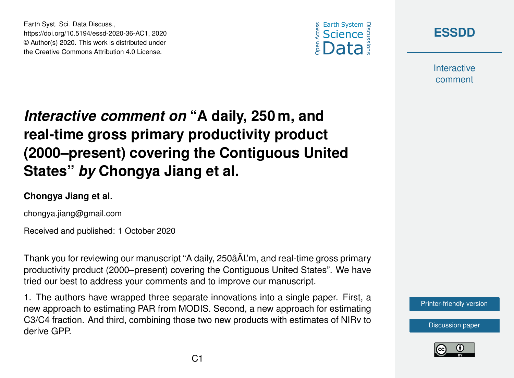





**Interactive** comment

# *Interactive comment on* **"A daily, 250 m, and real-time gross primary productivity product (2000–present) covering the Contiguous United States"** *by* **Chongya Jiang et al.**

#### **Chongya Jiang et al.**

chongya.jiang@gmail.com

Received and published: 1 October 2020

Thank you for reviewing our manuscript "A daily, 250âAL'm, and real-time gross primary ˘ productivity product (2000–present) covering the Contiguous United States". We have tried our best to address your comments and to improve our manuscript.

1. The authors have wrapped three separate innovations into a single paper. First, a new approach to estimating PAR from MODIS. Second, a new approach for estimating C3/C4 fraction. And third, combining those two new products with estimates of NIRv to derive GPP.

[Printer-friendly version](https://essd.copernicus.org/preprints/essd-2020-36/essd-2020-36-AC1-print.pdf)

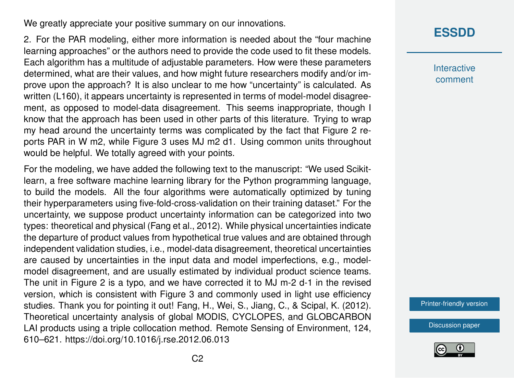We greatly appreciate your positive summary on our innovations.

2. For the PAR modeling, either more information is needed about the "four machine learning approaches" or the authors need to provide the code used to fit these models. Each algorithm has a multitude of adjustable parameters. How were these parameters determined, what are their values, and how might future researchers modify and/or improve upon the approach? It is also unclear to me how "uncertainty" is calculated. As written (L160), it appears uncertainty is represented in terms of model-model disagreement, as opposed to model-data disagreement. This seems inappropriate, though I know that the approach has been used in other parts of this literature. Trying to wrap my head around the uncertainty terms was complicated by the fact that Figure 2 reports PAR in W m2, while Figure 3 uses MJ m2 d1. Using common units throughout would be helpful. We totally agreed with your points.

For the modeling, we have added the following text to the manuscript: "We used Scikitlearn, a free software machine learning library for the Python programming language, to build the models. All the four algorithms were automatically optimized by tuning their hyperparameters using five-fold-cross-validation on their training dataset." For the uncertainty, we suppose product uncertainty information can be categorized into two types: theoretical and physical (Fang et al., 2012). While physical uncertainties indicate the departure of product values from hypothetical true values and are obtained through independent validation studies, i.e., model-data disagreement, theoretical uncertainties are caused by uncertainties in the input data and model imperfections, e.g., modelmodel disagreement, and are usually estimated by individual product science teams. The unit in Figure 2 is a typo, and we have corrected it to MJ m-2 d-1 in the revised version, which is consistent with Figure 3 and commonly used in light use efficiency studies. Thank you for pointing it out! Fang, H., Wei, S., Jiang, C., & Scipal, K. (2012). Theoretical uncertainty analysis of global MODIS, CYCLOPES, and GLOBCARBON LAI products using a triple collocation method. Remote Sensing of Environment, 124, 610–621. https://doi.org/10.1016/j.rse.2012.06.013

**[ESSDD](https://essd.copernicus.org/preprints/)**

**Interactive** comment

[Printer-friendly version](https://essd.copernicus.org/preprints/essd-2020-36/essd-2020-36-AC1-print.pdf)

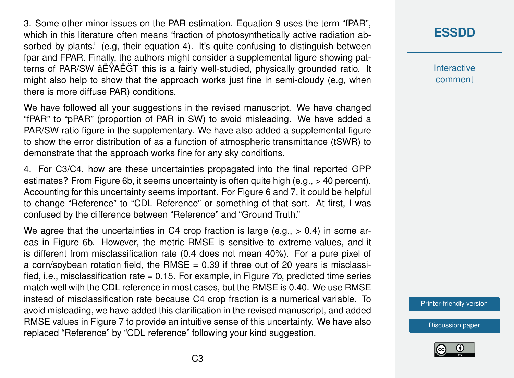3. Some other minor issues on the PAR estimation. Equation 9 uses the term "fPAR", which in this literature often means 'fraction of photosynthetically active radiation absorbed by plants.' (e.g, their equation 4). It's quite confusing to distinguish between fpar and FPAR. Finally, the authors might consider a supplemental figure showing patterns of PAR/SW âËŸAËGT this is a fairly well-studied, physically grounded ratio. It ˘ might also help to show that the approach works just fine in semi-cloudy (e.g, when there is more diffuse PAR) conditions.

We have followed all your suggestions in the revised manuscript. We have changed "fPAR" to "pPAR" (proportion of PAR in SW) to avoid misleading. We have added a PAR/SW ratio figure in the supplementary. We have also added a supplemental figure to show the error distribution of as a function of atmospheric transmittance (tSWR) to demonstrate that the approach works fine for any sky conditions.

4. For C3/C4, how are these uncertainties propagated into the final reported GPP estimates? From Figure 6b, it seems uncertainty is often quite high (e.g., > 40 percent). Accounting for this uncertainty seems important. For Figure 6 and 7, it could be helpful to change "Reference" to "CDL Reference" or something of that sort. At first, I was confused by the difference between "Reference" and "Ground Truth."

We agree that the uncertainties in C4 crop fraction is large (e.g.,  $> 0.4$ ) in some areas in Figure 6b. However, the metric RMSE is sensitive to extreme values, and it is different from misclassification rate (0.4 does not mean 40%). For a pure pixel of a corn/sovbean rotation field, the RMSE  $= 0.39$  if three out of 20 years is misclassified, i.e., misclassification rate = 0.15. For example, in Figure 7b, predicted time series match well with the CDL reference in most cases, but the RMSE is 0.40. We use RMSE instead of misclassification rate because C4 crop fraction is a numerical variable. To avoid misleading, we have added this clarification in the revised manuscript, and added RMSE values in Figure 7 to provide an intuitive sense of this uncertainty. We have also replaced "Reference" by "CDL reference" following your kind suggestion.

## **[ESSDD](https://essd.copernicus.org/preprints/)**

**Interactive** comment

[Printer-friendly version](https://essd.copernicus.org/preprints/essd-2020-36/essd-2020-36-AC1-print.pdf)

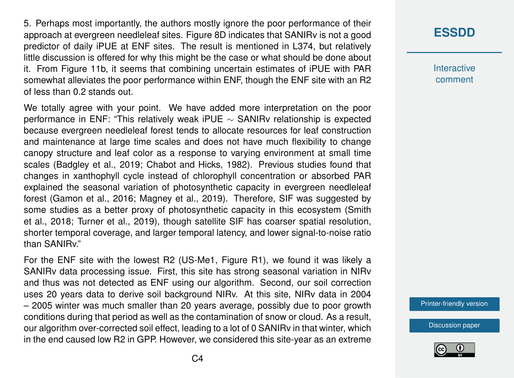5. Perhaps most importantly, the authors mostly ignore the poor performance of their approach at evergreen needleleaf sites. Figure 8D indicates that SANIRv is not a good predictor of daily iPUE at ENF sites. The result is mentioned in L374, but relatively little discussion is offered for why this might be the case or what should be done about it. From Figure 11b, it seems that combining uncertain estimates of iPUE with PAR somewhat alleviates the poor performance within ENF, though the ENF site with an R2 of less than 0.2 stands out.

We totally agree with your point. We have added more interpretation on the poor performance in ENF: "This relatively weak iPUE ∼ SANIRv relationship is expected because evergreen needleleaf forest tends to allocate resources for leaf construction and maintenance at large time scales and does not have much flexibility to change canopy structure and leaf color as a response to varying environment at small time scales (Badgley et al., 2019; Chabot and Hicks, 1982). Previous studies found that changes in xanthophyll cycle instead of chlorophyll concentration or absorbed PAR explained the seasonal variation of photosynthetic capacity in evergreen needleleaf forest (Gamon et al., 2016; Magney et al., 2019). Therefore, SIF was suggested by some studies as a better proxy of photosynthetic capacity in this ecosystem (Smith et al., 2018; Turner et al., 2019), though satellite SIF has coarser spatial resolution, shorter temporal coverage, and larger temporal latency, and lower signal-to-noise ratio than SANIRv."

For the ENF site with the lowest R2 (US-Me1, Figure R1), we found it was likely a SANIRv data processing issue. First, this site has strong seasonal variation in NIRv and thus was not detected as ENF using our algorithm. Second, our soil correction uses 20 years data to derive soil background NIRv. At this site, NIRv data in 2004 – 2005 winter was much smaller than 20 years average, possibly due to poor growth conditions during that period as well as the contamination of snow or cloud. As a result, our algorithm over-corrected soil effect, leading to a lot of 0 SANIRv in that winter, which in the end caused low R2 in GPP. However, we considered this site-year as an extreme

# **[ESSDD](https://essd.copernicus.org/preprints/)**

**Interactive** comment

[Printer-friendly version](https://essd.copernicus.org/preprints/essd-2020-36/essd-2020-36-AC1-print.pdf)

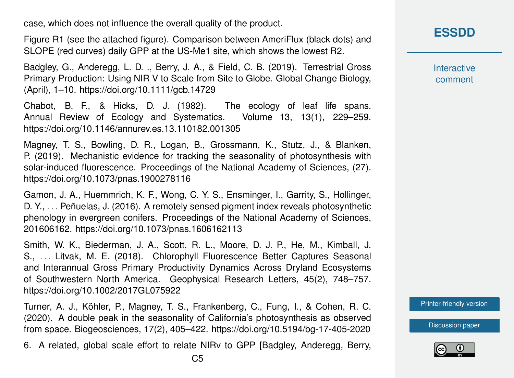case, which does not influence the overall quality of the product.

Figure R1 (see the attached figure). Comparison between AmeriFlux (black dots) and SLOPE (red curves) daily GPP at the US-Me1 site, which shows the lowest R2.

Badgley, G., Anderegg, L. D. ., Berry, J. A., & Field, C. B. (2019). Terrestrial Gross Primary Production: Using NIR V to Scale from Site to Globe. Global Change Biology, (April), 1–10. https://doi.org/10.1111/gcb.14729

Chabot, B. F., & Hicks, D. J. (1982). The ecology of leaf life spans. Annual Review of Ecology and Systematics. Volume 13, 13(1), 229–259. https://doi.org/10.1146/annurev.es.13.110182.001305

Magney, T. S., Bowling, D. R., Logan, B., Grossmann, K., Stutz, J., & Blanken, P. (2019). Mechanistic evidence for tracking the seasonality of photosynthesis with solar-induced fluorescence. Proceedings of the National Academy of Sciences, (27). https://doi.org/10.1073/pnas.1900278116

Gamon, J. A., Huemmrich, K. F., Wong, C. Y. S., Ensminger, I., Garrity, S., Hollinger, D. Y., . . . Peñuelas, J. (2016). A remotely sensed pigment index reveals photosynthetic phenology in evergreen conifers. Proceedings of the National Academy of Sciences, 201606162. https://doi.org/10.1073/pnas.1606162113

Smith, W. K., Biederman, J. A., Scott, R. L., Moore, D. J. P., He, M., Kimball, J. S., . . . Litvak, M. E. (2018). Chlorophyll Fluorescence Better Captures Seasonal and Interannual Gross Primary Productivity Dynamics Across Dryland Ecosystems of Southwestern North America. Geophysical Research Letters, 45(2), 748–757. https://doi.org/10.1002/2017GL075922

Turner, A. J., Köhler, P., Magney, T. S., Frankenberg, C., Fung, I., & Cohen, R. C. (2020). A double peak in the seasonality of California's photosynthesis as observed from space. Biogeosciences, 17(2), 405–422. https://doi.org/10.5194/bg-17-405-2020

6. A related, global scale effort to relate NIRv to GPP [Badgley, Anderegg, Berry,

**[ESSDD](https://essd.copernicus.org/preprints/)**

**Interactive** comment

[Printer-friendly version](https://essd.copernicus.org/preprints/essd-2020-36/essd-2020-36-AC1-print.pdf)

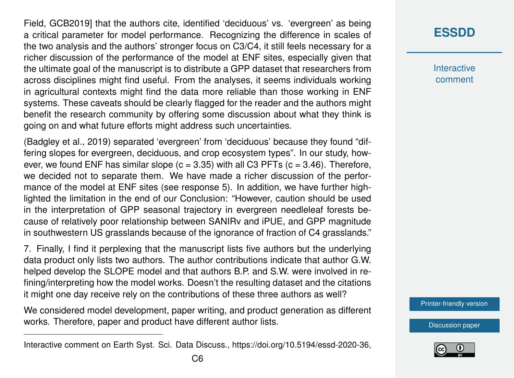Field, GCB2019] that the authors cite, identified 'deciduous' vs. 'evergreen' as being a critical parameter for model performance. Recognizing the difference in scales of the two analysis and the authors' stronger focus on C3/C4, it still feels necessary for a richer discussion of the performance of the model at ENF sites, especially given that the ultimate goal of the manuscript is to distribute a GPP dataset that researchers from across disciplines might find useful. From the analyses, it seems individuals working in agricultural contexts might find the data more reliable than those working in ENF systems. These caveats should be clearly flagged for the reader and the authors might benefit the research community by offering some discussion about what they think is going on and what future efforts might address such uncertainties.

(Badgley et al., 2019) separated 'evergreen' from 'deciduous' because they found "differing slopes for evergreen, deciduous, and crop ecosystem types". In our study, however, we found ENF has similar slope  $(c = 3.35)$  with all C3 PFTs  $(c = 3.46)$ . Therefore, we decided not to separate them. We have made a richer discussion of the performance of the model at ENF sites (see response 5). In addition, we have further highlighted the limitation in the end of our Conclusion: "However, caution should be used in the interpretation of GPP seasonal trajectory in evergreen needleleaf forests because of relatively poor relationship between SANIRv and iPUE, and GPP magnitude in southwestern US grasslands because of the ignorance of fraction of C4 grasslands."

7. Finally, I find it perplexing that the manuscript lists five authors but the underlying data product only lists two authors. The author contributions indicate that author G.W. helped develop the SLOPE model and that authors B.P. and S.W. were involved in refining/interpreting how the model works. Doesn't the resulting dataset and the citations it might one day receive rely on the contributions of these three authors as well?

We considered model development, paper writing, and product generation as different works. Therefore, paper and product have different author lists.

### **[ESSDD](https://essd.copernicus.org/preprints/)**

**Interactive** comment

[Printer-friendly version](https://essd.copernicus.org/preprints/essd-2020-36/essd-2020-36-AC1-print.pdf)



Interactive comment on Earth Syst. Sci. Data Discuss., https://doi.org/10.5194/essd-2020-36,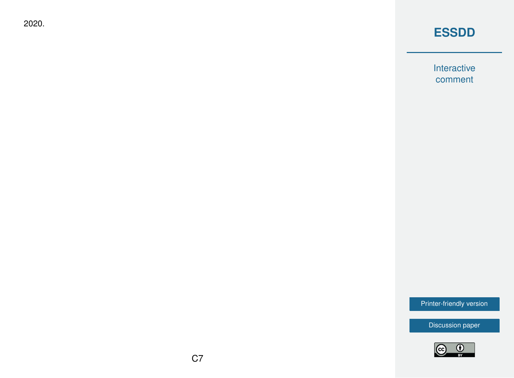2020.

### **[ESSDD](https://essd.copernicus.org/preprints/)**

Interactive comment

[Printer-friendly version](https://essd.copernicus.org/preprints/essd-2020-36/essd-2020-36-AC1-print.pdf)